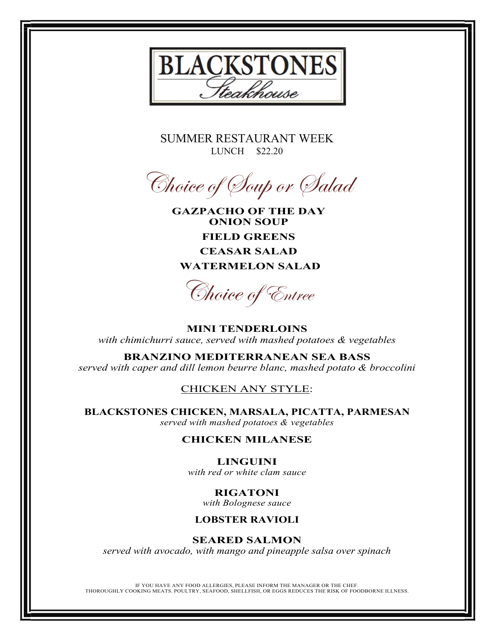

SUMMER RESTAURANT WEEK LUNCH \$22.20



**GAZPACHO OF THE DAY ONION SOUP FIELD GREENS CEASAR SALAD WATERMELON SALAD**

Choice of Entree

**MINI TENDERLOINS** *with chimichurri sauce, served with mashed potatoes & vegetables*

**BRANZINO MEDITERRANEAN SEA BASS** *served with caper and dill lemon beurre blanc, mashed potato & broccolini*

## CHICKEN ANY STYLE:

**BLACKSTONES CHICKEN, MARSALA, PICATTA, PARMESAN** *served with mashed potatoes & vegetables*

## **CHICKEN MILANESE**

### **LINGUINI**

*with red or white clam sauce*

# **RIGATONI**

*with Bolognese sauce*

### **LOBSTER RAVIOLI**

### **SEARED SALMON**

*served with avocado, with mango and pineapple salsa over spinach*

IF YOU HAVE ANY FOOD ALLERGIES, PLEASE INFORM THE MANAGER OR THE CHEF. THOROUGHLY COOKING MEATS. POULTRY, SEAFOOD, SHELLFISH, OR EGGS REDUCES THE RISK OF FOODBORNE ILLNESS.